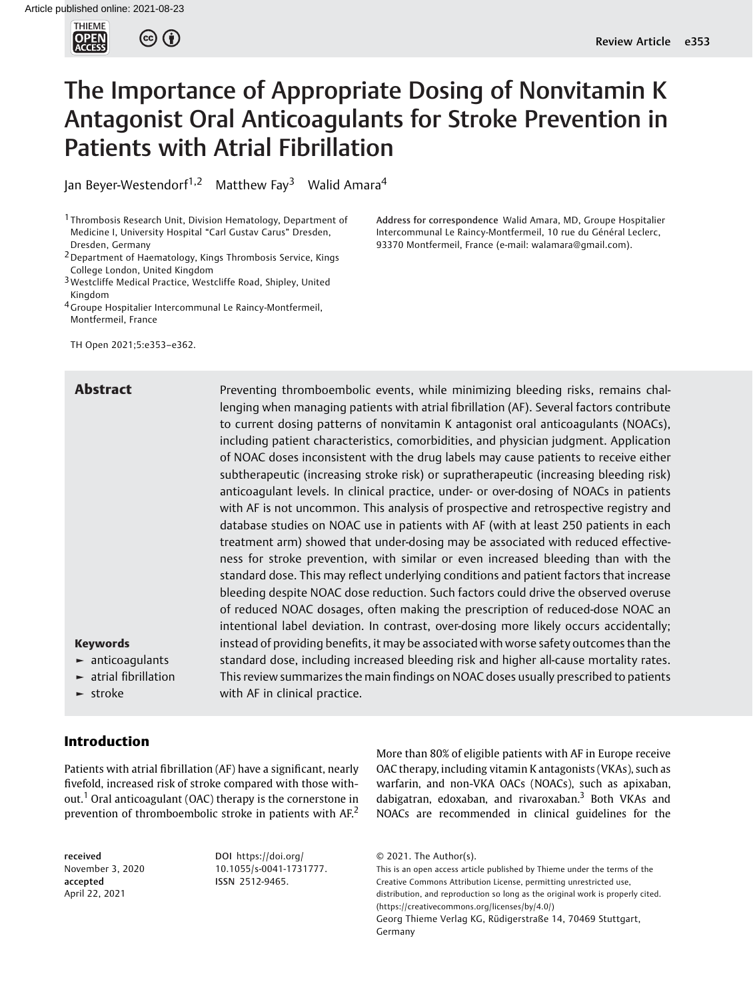

# The Importance of Appropriate Dosing of Nonvitamin K Antagonist Oral Anticoagulants for Stroke Prevention in Patients with Atrial Fibrillation

Jan Beyer-Westendorf<sup>1,2</sup> Matthew Fay<sup>3</sup> Walid Amara<sup>4</sup>

<sup>1</sup> Thrombosis Research Unit, Division Hematology, Department of Medicine I, University Hospital "Carl Gustav Carus" Dresden, Dresden, Germany

TH Open 2021;5:e353–e362.

Abstract **Preventing thromboembolic events, while minimizing bleeding risks, remains chal**lenging when managing patients with atrial fibrillation (AF). Several factors contribute to current dosing patterns of nonvitamin K antagonist oral anticoagulants (NOACs), including patient characteristics, comorbidities, and physician judgment. Application of NOAC doses inconsistent with the drug labels may cause patients to receive either subtherapeutic (increasing stroke risk) or supratherapeutic (increasing bleeding risk) anticoagulant levels. In clinical practice, under- or over-dosing of NOACs in patients with AF is not uncommon. This analysis of prospective and retrospective registry and database studies on NOAC use in patients with AF (with at least 250 patients in each treatment arm) showed that under-dosing may be associated with reduced effectiveness for stroke prevention, with similar or even increased bleeding than with the standard dose. This may reflect underlying conditions and patient factors that increase bleeding despite NOAC dose reduction. Such factors could drive the observed overuse of reduced NOAC dosages, often making the prescription of reduced-dose NOAC an intentional label deviation. In contrast, over-dosing more likely occurs accidentally; instead of providing benefits, it may be associated with worse safety outcomes than the standard dose, including increased bleeding risk and higher all-cause mortality rates. This review summarizes the main findings on NOAC doses usually prescribed to patients with AF in clinical practice.

## Keywords ► anticoagulants

- 
- ► atrial fibrillation

► stroke

# Introduction

Patients with atrial fibrillation (AF) have a significant, nearly fivefold, increased risk of stroke compared with those without.<sup>1</sup> Oral anticoagulant (OAC) therapy is the cornerstone in prevention of thromboembolic stroke in patients with AF.<sup>2</sup>

received November 3, 2020 accepted April 22, 2021

DOI [https://doi.org/](https://doi.org/10.1055/s-0041-1731777) [10.1055/s-0041-1731777](https://doi.org/10.1055/s-0041-1731777). ISSN 2512-9465.

More than 80% of eligible patients with AF in Europe receive OAC therapy, including vitamin K antagonists (VKAs), such as warfarin, and non-VKA OACs (NOACs), such as apixaban, dabigatran, edoxaban, and rivaroxaban.<sup>3</sup> Both VKAs and NOACs are recommended in clinical guidelines for the

```
© 2021. The Author(s).
```
This is an open access article published by Thieme under the terms of the Creative Commons Attribution License, permitting unrestricted use, distribution, and reproduction so long as the original work is properly cited. (https://creativecommons.org/licenses/by/4.0/) Georg Thieme Verlag KG, Rüdigerstraße 14, 70469 Stuttgart, Germany

Address for correspondence Walid Amara, MD, Groupe Hospitalier Intercommunal Le Raincy-Montfermeil, 10 rue du Général Leclerc, 93370 Montfermeil, France (e-mail: [walamara@gmail.com\)](mailto:walamara@gmail.com).

<sup>2</sup>Department of Haematology, Kings Thrombosis Service, Kings College London, United Kingdom

<sup>3</sup>Westcliffe Medical Practice, Westcliffe Road, Shipley, United Kingdom

<sup>&</sup>lt;sup>4</sup> Groupe Hospitalier Intercommunal Le Raincy-Montfermeil, Montfermeil, France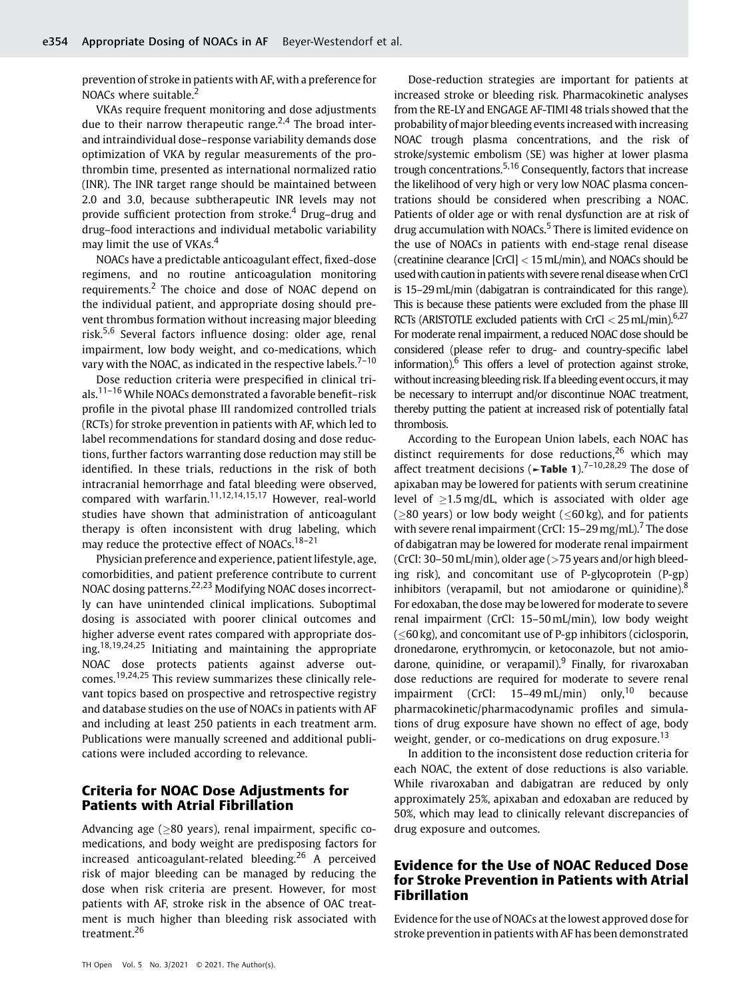prevention of stroke in patients with AF, with a preference for NOACs where suitable.<sup>2</sup>

VKAs require frequent monitoring and dose adjustments due to their narrow therapeutic range.<sup>2,4</sup> The broad interand intraindividual dose–response variability demands dose optimization of VKA by regular measurements of the prothrombin time, presented as international normalized ratio (INR). The INR target range should be maintained between 2.0 and 3.0, because subtherapeutic INR levels may not provide sufficient protection from stroke.<sup>4</sup> Drug–drug and drug–food interactions and individual metabolic variability may limit the use of VKAs.<sup>4</sup>

NOACs have a predictable anticoagulant effect, fixed-dose regimens, and no routine anticoagulation monitoring requirements.<sup>2</sup> The choice and dose of NOAC depend on the individual patient, and appropriate dosing should prevent thrombus formation without increasing major bleeding risk.5,6 Several factors influence dosing: older age, renal impairment, low body weight, and co-medications, which vary with the NOAC, as indicated in the respective labels.<sup>7-10</sup>

Dose reduction criteria were prespecified in clinical trials.11–<sup>16</sup> While NOACs demonstrated a favorable benefit–risk profile in the pivotal phase III randomized controlled trials (RCTs) for stroke prevention in patients with AF, which led to label recommendations for standard dosing and dose reductions, further factors warranting dose reduction may still be identified. In these trials, reductions in the risk of both intracranial hemorrhage and fatal bleeding were observed, compared with warfarin.<sup>11,12,14,15,17</sup> However, real-world studies have shown that administration of anticoagulant therapy is often inconsistent with drug labeling, which may reduce the protective effect of NOACs.<sup>18–21</sup>

Physician preference and experience, patient lifestyle, age, comorbidities, and patient preference contribute to current NOAC dosing patterns.22,23 Modifying NOAC doses incorrectly can have unintended clinical implications. Suboptimal dosing is associated with poorer clinical outcomes and higher adverse event rates compared with appropriate dosing.<sup>18,19,24,25</sup> Initiating and maintaining the appropriate NOAC dose protects patients against adverse outcomes.19,24,25 This review summarizes these clinically relevant topics based on prospective and retrospective registry and database studies on the use of NOACs in patients with AF and including at least 250 patients in each treatment arm. Publications were manually screened and additional publications were included according to relevance.

# Criteria for NOAC Dose Adjustments for Patients with Atrial Fibrillation

Advancing age  $(>80$  years), renal impairment, specific comedications, and body weight are predisposing factors for increased anticoagulant-related bleeding.<sup>26</sup> A perceived risk of major bleeding can be managed by reducing the dose when risk criteria are present. However, for most patients with AF, stroke risk in the absence of OAC treatment is much higher than bleeding risk associated with treatment.<sup>26</sup>

Dose-reduction strategies are important for patients at increased stroke or bleeding risk. Pharmacokinetic analyses from the RE-LY and ENGAGE AF-TIMI 48 trials showed that the probability of major bleeding events increased with increasing NOAC trough plasma concentrations, and the risk of stroke/systemic embolism (SE) was higher at lower plasma trough concentrations.5,16 Consequently, factors that increase the likelihood of very high or very low NOAC plasma concentrations should be considered when prescribing a NOAC. Patients of older age or with renal dysfunction are at risk of drug accumulation with NOACs.<sup>5</sup> There is limited evidence on the use of NOACs in patients with end-stage renal disease (creatinine clearance [CrCl] < 15mL/min), and NOACs should be used with caution in patients with severe renal disease when CrCl is 15–29mL/min (dabigatran is contraindicated for this range). This is because these patients were excluded from the phase III RCTs (ARISTOTLE excluded patients with CrCl  $<$  25 mL/min).<sup>6,27</sup> For moderate renal impairment, a reduced NOAC dose should be considered (please refer to drug- and country-specific label information). $6$  This offers a level of protection against stroke, without increasing bleeding risk. If a bleeding event occurs, it may be necessary to interrupt and/or discontinue NOAC treatment, thereby putting the patient at increased risk of potentially fatal thrombosis.

According to the European Union labels, each NOAC has distinct requirements for dose reductions,  $26$  which may affect treatment decisions ( $\blacktriangleright$ Table 1).<sup>7–10,28,29</sup> The dose of apixaban may be lowered for patients with serum creatinine level of  $\geq$ 1.5 mg/dL, which is associated with older age ( $\geq$ 80 years) or low body weight ( $\leq$ 60 kg), and for patients with severe renal impairment (CrCl:  $15-29$  mg/mL).<sup>7</sup> The dose of dabigatran may be lowered for moderate renal impairment (CrCl: 30–50mL/min), older age (>75 years and/or high bleeding risk), and concomitant use of P-glycoprotein (P-gp) inhibitors (verapamil, but not amiodarone or quinidine). $8$ For edoxaban, the dose may be lowered for moderate to severe renal impairment (CrCl: 15–50mL/min), low body weight  $(<$  60 kg), and concomitant use of P-gp inhibitors (ciclosporin, dronedarone, erythromycin, or ketoconazole, but not amiodarone, quinidine, or verapamil). Finally, for rivaroxaban dose reductions are required for moderate to severe renal impairment (CrCl:  $15-49$  mL/min) only, <sup>10</sup> because pharmacokinetic/pharmacodynamic profiles and simulations of drug exposure have shown no effect of age, body weight, gender, or co-medications on drug exposure.<sup>13</sup>

In addition to the inconsistent dose reduction criteria for each NOAC, the extent of dose reductions is also variable. While rivaroxaban and dabigatran are reduced by only approximately 25%, apixaban and edoxaban are reduced by 50%, which may lead to clinically relevant discrepancies of drug exposure and outcomes.

# Evidence for the Use of NOAC Reduced Dose for Stroke Prevention in Patients with Atrial Fibrillation

Evidence for the use of NOACs at the lowest approved dose for stroke prevention in patients with AF has been demonstrated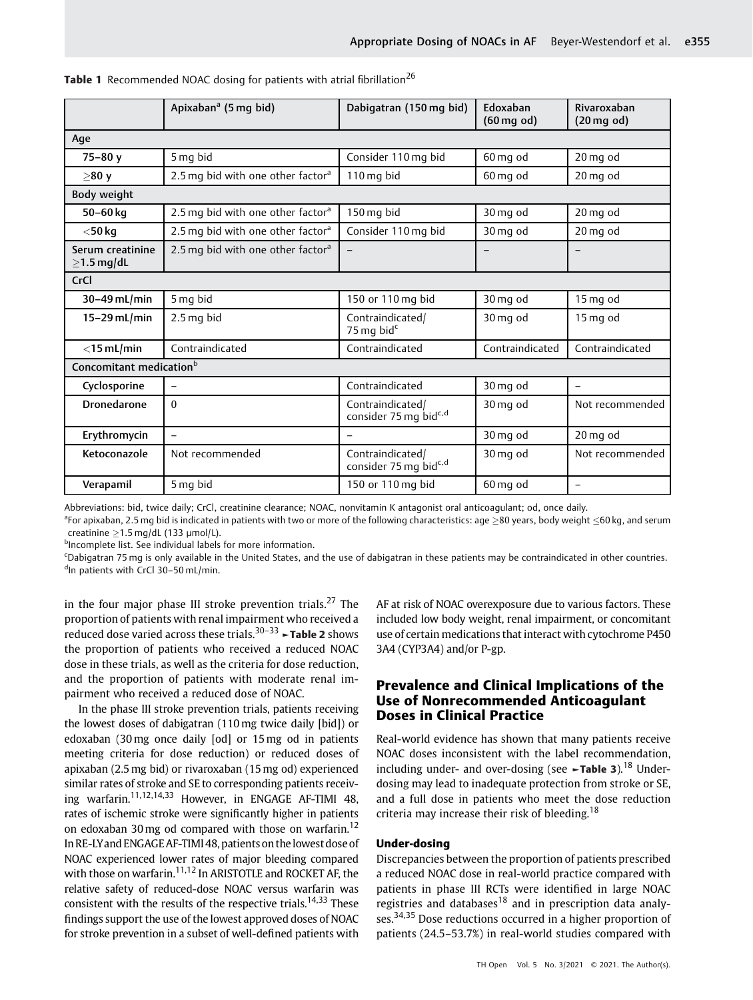|                                      | Apixaban <sup>a</sup> (5 mg bid)              | Dabigatran (150 mg bid)                               | Edoxaban<br>$(60 \text{ mg od})$ | Rivaroxaban<br>$(20 \text{ mg od})$ |
|--------------------------------------|-----------------------------------------------|-------------------------------------------------------|----------------------------------|-------------------------------------|
| Age                                  |                                               |                                                       |                                  |                                     |
| $75 - 80v$                           | 5 mg bid                                      | Consider 110 mg bid                                   | 60 mg od                         | 20 mg od                            |
| >80v                                 | 2.5 mg bid with one other factor <sup>a</sup> | 110 mg bid                                            | 60 mg od                         | 20 mg od                            |
| Body weight                          |                                               |                                                       |                                  |                                     |
| 50-60 kg                             | 2.5 mg bid with one other factor <sup>a</sup> | 150 mg bid                                            | 30 mg od                         | 20 mg od                            |
| $<$ 50 kg                            | 2.5 mg bid with one other factor <sup>a</sup> | Consider 110 mg bid                                   | 30 mg od                         | 20 mg od                            |
| Serum creatinine<br>$\geq$ 1.5 mg/dL | 2.5 mg bid with one other factor <sup>a</sup> |                                                       |                                  |                                     |
| CrCl                                 |                                               |                                                       |                                  |                                     |
| 30-49 mL/min                         | 5 mg bid                                      | 150 or 110 mg bid                                     | 30 mg od                         | 15 mg od                            |
| 15-29 mL/min                         | $2.5$ mg bid                                  | Contraindicated/<br>75 mg bid <sup>c</sup>            | 30 mg od                         | 15 mg od                            |
| $<$ 15 mL/min                        | Contraindicated                               | Contraindicated                                       | Contraindicated                  | Contraindicated                     |
| Concomitant medication <sup>b</sup>  |                                               |                                                       |                                  |                                     |
| Cyclosporine                         | $\qquad \qquad -$                             | Contraindicated                                       | 30 mg od                         | $\overline{\phantom{0}}$            |
| <b>Dronedarone</b>                   | $\Omega$                                      | Contraindicated/<br>consider 75 mg bidc,d             | 30 mg od                         | Not recommended                     |
| Erythromycin                         | $\overline{\phantom{0}}$                      |                                                       | 30 mg od                         | 20 mg od                            |
| Ketoconazole                         | Not recommended                               | Contraindicated/<br>consider 75 mg bid <sup>c,d</sup> | 30 mg od                         | Not recommended                     |
| Verapamil                            | 5 mg bid                                      | 150 or 110 mg bid                                     | 60 mg od                         | $\overline{\phantom{0}}$            |

Table 1 Recommended NOAC dosing for patients with atrial fibrillation<sup>26</sup>

Abbreviations: bid, twice daily; CrCl, creatinine clearance; NOAC, nonvitamin K antagonist oral anticoagulant; od, once daily.

 $^{\sf a}$ For apixaban, 2.5 mg bid is indicated in patients with two or more of the following characteristics: age  $\geq$ 80 years, body weight  $\leq$ 60 kg, and serum creatinine  $\geq$ 1.5 mg/dL (133 µmol/L).

<sup>b</sup>Incomplete list. See individual labels for more information.

c Dabigatran 75 mg is only available in the United States, and the use of dabigatran in these patients may be contraindicated in other countries. <sup>d</sup>In patients with CrCl 30-50 mL/min.

in the four major phase III stroke prevention trials.<sup>27</sup> The proportion of patients with renal impairment who received a reduced dose varied across these trials. $30-33$   $\rightarrow$  Table 2 shows the proportion of patients who received a reduced NOAC dose in these trials, as well as the criteria for dose reduction, and the proportion of patients with moderate renal impairment who received a reduced dose of NOAC.

In the phase III stroke prevention trials, patients receiving the lowest doses of dabigatran (110 mg twice daily [bid]) or edoxaban (30 mg once daily [od] or 15mg od in patients meeting criteria for dose reduction) or reduced doses of apixaban (2.5 mg bid) or rivaroxaban (15 mg od) experienced similar rates of stroke and SE to corresponding patients receiving warfarin.11,12,14,33 However, in ENGAGE AF-TIMI 48, rates of ischemic stroke were significantly higher in patients on edoxaban 30 mg od compared with those on warfarin.<sup>12</sup> In RE-LY and ENGAGE AF-TIMI 48, patients on the lowest dose of NOAC experienced lower rates of major bleeding compared with those on warfarin.<sup>11,12</sup> In ARISTOTLE and ROCKET AF, the relative safety of reduced-dose NOAC versus warfarin was consistent with the results of the respective trials.<sup>14,33</sup> These findings support the use of the lowest approved doses of NOAC for stroke prevention in a subset of well-defined patients with

AF at risk of NOAC overexposure due to various factors. These included low body weight, renal impairment, or concomitant use of certain medications that interact with cytochrome P450 3A4 (CYP3A4) and/or P-gp.

# Prevalence and Clinical Implications of the Use of Nonrecommended Anticoagulant Doses in Clinical Practice

Real-world evidence has shown that many patients receive NOAC doses inconsistent with the label recommendation, including under- and over-dosing (see  $\sim$ Table 3).<sup>18</sup> Underdosing may lead to inadequate protection from stroke or SE, and a full dose in patients who meet the dose reduction criteria may increase their risk of bleeding.<sup>18</sup>

#### Under-dosing

Discrepancies between the proportion of patients prescribed a reduced NOAC dose in real-world practice compared with patients in phase III RCTs were identified in large NOAC registries and databases<sup>18</sup> and in prescription data analyses.<sup>34,35</sup> Dose reductions occurred in a higher proportion of patients (24.5–53.7%) in real-world studies compared with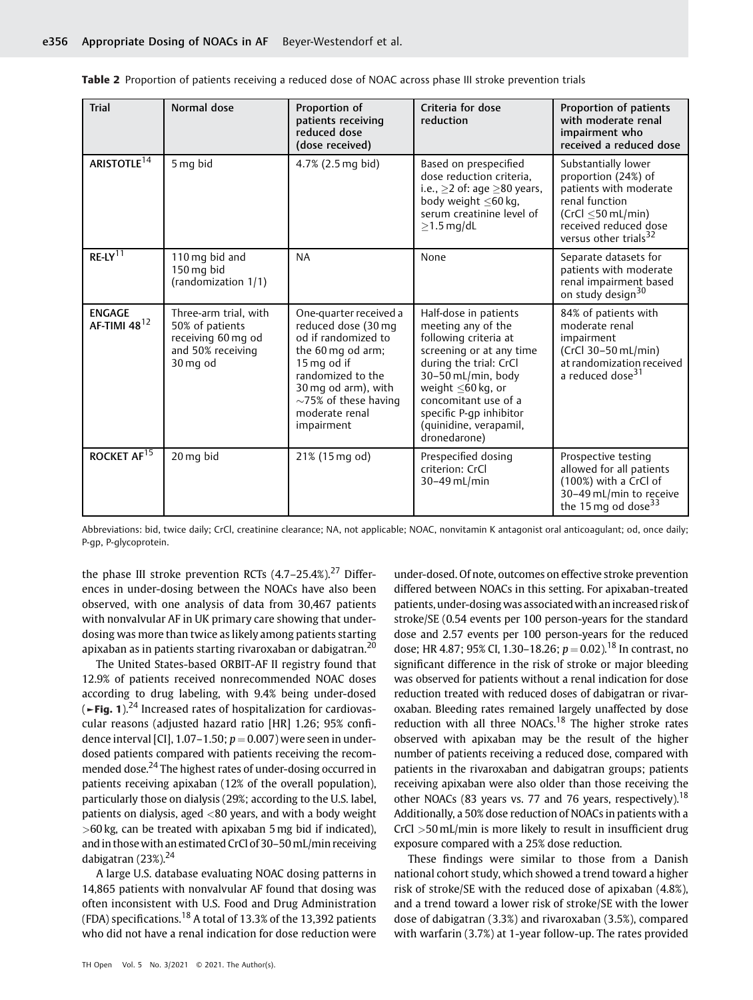| <b>Trial</b>                       | Normal dose                                                                                     | Proportion of<br>patients receiving<br>reduced dose<br>(dose received)                                                                                                                                             | Criteria for dose<br>reduction                                                                                                                                                                                                                                        | Proportion of patients<br>with moderate renal<br>impairment who<br>received a reduced dose                                                                                   |
|------------------------------------|-------------------------------------------------------------------------------------------------|--------------------------------------------------------------------------------------------------------------------------------------------------------------------------------------------------------------------|-----------------------------------------------------------------------------------------------------------------------------------------------------------------------------------------------------------------------------------------------------------------------|------------------------------------------------------------------------------------------------------------------------------------------------------------------------------|
| ARISTOTLE <sup>14</sup>            | 5 mg bid                                                                                        | 4.7% (2.5 mg bid)                                                                                                                                                                                                  | Based on prespecified<br>dose reduction criteria,<br>i.e., $\geq$ 2 of: age $\geq$ 80 years,<br>body weight $\leq 60$ kg,<br>serum creatinine level of<br>$\geq$ 1.5 mg/dL                                                                                            | Substantially lower<br>proportion (24%) of<br>patients with moderate<br>renal function<br>$(CrCl < 50$ mL/min)<br>received reduced dose<br>versus other trials <sup>32</sup> |
| $RE-LY$ <sup>11</sup>              | 110 mg bid and<br>150 mg bid<br>(randomization 1/1)                                             | <b>NA</b>                                                                                                                                                                                                          | None                                                                                                                                                                                                                                                                  | Separate datasets for<br>patients with moderate<br>renal impairment based<br>on study design <sup>30</sup>                                                                   |
| <b>ENGAGE</b><br>AF-TIMI $48^{12}$ | Three-arm trial, with<br>50% of patients<br>receiving 60 mg od<br>and 50% receiving<br>30 mg od | One-quarter received a<br>reduced dose (30 mg<br>od if randomized to<br>the 60 mg od arm;<br>15 mg od if<br>randomized to the<br>30 mg od arm), with<br>$\sim$ 75% of these having<br>moderate renal<br>impairment | Half-dose in patients<br>meeting any of the<br>following criteria at<br>screening or at any time<br>during the trial: CrCl<br>30-50 mL/min, body<br>weight $<$ 60 kg, or<br>concomitant use of a<br>specific P-qp inhibitor<br>(quinidine, verapamil,<br>dronedarone) | 84% of patients with<br>moderate renal<br>impairment<br>(CrCl 30-50 mL/min)<br>at randomization received<br>a reduced dose <sup>31</sup>                                     |
| ROCKET AF <sup>15</sup>            | 20 mg bid                                                                                       | 21% (15 mg od)                                                                                                                                                                                                     | Prespecified dosing<br>criterion: CrCl<br>$30-49$ mL/min                                                                                                                                                                                                              | Prospective testing<br>allowed for all patients<br>(100%) with a CrCl of<br>30-49 mL/min to receive<br>the 15 mg od dose <sup>33</sup>                                       |

|  |  |  | <b>Table 2</b> Proportion of patients receiving a reduced dose of NOAC across phase III stroke prevention trials |  |  |  |  |  |  |
|--|--|--|------------------------------------------------------------------------------------------------------------------|--|--|--|--|--|--|
|--|--|--|------------------------------------------------------------------------------------------------------------------|--|--|--|--|--|--|

Abbreviations: bid, twice daily; CrCl, creatinine clearance; NA, not applicable; NOAC, nonvitamin K antagonist oral anticoagulant; od, once daily; P-gp, P-glycoprotein.

the phase III stroke prevention RCTs  $(4.7-25.4\%)$ <sup>27</sup> Differences in under-dosing between the NOACs have also been observed, with one analysis of data from 30,467 patients with nonvalvular AF in UK primary care showing that underdosing was more than twice as likely among patients starting apixaban as in patients starting rivaroxaban or dabigatran.<sup>20</sup>

The United States-based ORBIT-AF II registry found that 12.9% of patients received nonrecommended NOAC doses according to drug labeling, with 9.4% being under-dosed  $($  ► Fig. 1).<sup>24</sup> Increased rates of hospitalization for cardiovascular reasons (adjusted hazard ratio [HR] 1.26; 95% confidence interval [CI],  $1.07-1.50$ ;  $p = 0.007$ ) were seen in underdosed patients compared with patients receiving the recommended dose.<sup>24</sup> The highest rates of under-dosing occurred in patients receiving apixaban (12% of the overall population), particularly those on dialysis (29%; according to the U.S. label, patients on dialysis, aged  $\langle 80 \rangle$  years, and with a body weight  $>60$  kg, can be treated with apixaban 5 mg bid if indicated), and in thosewith an estimated CrCl of 30–50mL/min receiving dabigatran  $(23\%)$ <sup>24</sup>

A large U.S. database evaluating NOAC dosing patterns in 14,865 patients with nonvalvular AF found that dosing was often inconsistent with U.S. Food and Drug Administration (FDA) specifications.<sup>18</sup> A total of 13.3% of the 13,392 patients who did not have a renal indication for dose reduction were under-dosed. Of note, outcomes on effective stroke prevention differed between NOACs in this setting. For apixaban-treated patients, under-dosing was associated with an increased risk of stroke/SE (0.54 events per 100 person-years for the standard dose and 2.57 events per 100 person-years for the reduced dose; HR 4.87; 95% CI, 1.30–18.26;  $p = 0.02$ ).<sup>18</sup> In contrast, no significant difference in the risk of stroke or major bleeding was observed for patients without a renal indication for dose reduction treated with reduced doses of dabigatran or rivaroxaban. Bleeding rates remained largely unaffected by dose reduction with all three NOACs.<sup>18</sup> The higher stroke rates observed with apixaban may be the result of the higher number of patients receiving a reduced dose, compared with patients in the rivaroxaban and dabigatran groups; patients receiving apixaban were also older than those receiving the other NOACs (83 years vs. 77 and 76 years, respectively).<sup>18</sup> Additionally, a 50% dose reduction of NOACs in patients with a CrCl >50mL/min is more likely to result in insufficient drug exposure compared with a 25% dose reduction.

These findings were similar to those from a Danish national cohort study, which showed a trend toward a higher risk of stroke/SE with the reduced dose of apixaban (4.8%), and a trend toward a lower risk of stroke/SE with the lower dose of dabigatran (3.3%) and rivaroxaban (3.5%), compared with warfarin (3.7%) at 1-year follow-up. The rates provided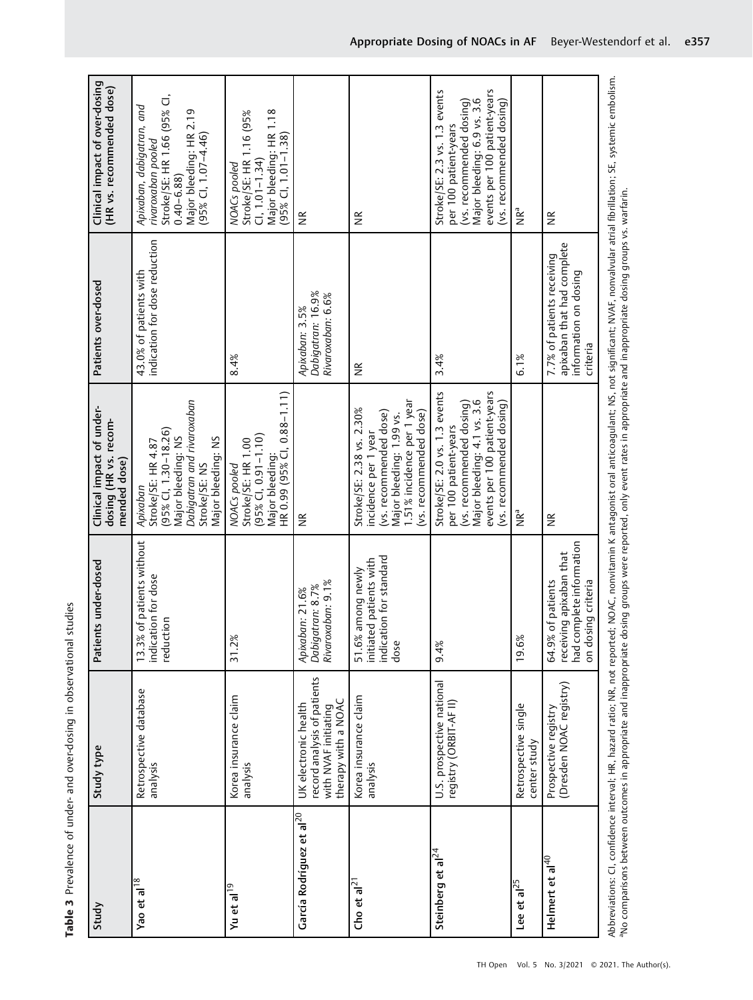| Study                                | Study type                                                                                         | Patients under-dosed                                                                           | Clinical impact of under-<br>dosing (HR vs. recom-<br>mended dose)                                                                                                            | Patients over-dosed                                                                           | Clinical impact of over-dosing<br>(HR vs. recommended dose)                                                                                                                   |
|--------------------------------------|----------------------------------------------------------------------------------------------------|------------------------------------------------------------------------------------------------|-------------------------------------------------------------------------------------------------------------------------------------------------------------------------------|-----------------------------------------------------------------------------------------------|-------------------------------------------------------------------------------------------------------------------------------------------------------------------------------|
| Yao et al <sup>18</sup>              | Retrospective database<br>analysis                                                                 | 13.3% of patients without<br>indication for dose<br>reduction                                  | Dabigatran and rivaroxaban<br>95% CI, 1.30-18.26)<br>Major bleeding: NS<br>Major bleeding: NS<br>Stroke/SE: HR 4.87<br>Stroke/SE: NS<br>Apixaban                              | indication for dose reduction<br>43.0% of patients with                                       | Stroke/SE: HR 1.66 (95% CI,<br>Apixaban, dabigatran, and<br>Major bleeding: HR 2.19<br>$(95\%$ CI, 1.07-4.46)<br>rivaroxaban pooled<br>$0.40 - 6.88$                          |
| Yu et al <sup>19</sup>               | Korea insurance claim<br>analysis                                                                  | ৯ৎ<br><u>بر</u><br>31.2                                                                        | HR 0.99 (95% CI, 0.88-1.11)<br>$(95\%$ CI, 0.91-1.10)<br>Stroke/SE: HR 1.00<br>Major bleeding:<br>NOACs pooled                                                                | 8.4%                                                                                          | Major bleeding: HR 1.18<br>Stroke/SE: HR 1.16 (95%<br>$(95\%$ CI, 1.01-1.38)<br>$C1, 1.01 - 1.34$<br>NOACs pooled                                                             |
| García Rodríguez et al <sup>20</sup> | record analysis of patients<br>with NVAF initiating<br>therapy with a NOAC<br>UK electronic health | Dabigatran: 8.7%<br>Rivaroxaban: 9.1%<br>Apixaban: 21.6%                                       | $\widetilde{\Xi}$                                                                                                                                                             | Dabigatran: 16.9%<br>Rivaroxaban: 6.6%<br>Apixaban: 3.5%                                      | $\widetilde{\Xi}$                                                                                                                                                             |
| Cho et al <sup>2</sup>               | Korea insurance claim<br>analysis                                                                  | indication for standard<br>initiated patients with<br>51.6% among newly<br>dose                | 1.51% incidence per 1 year<br>Stroke/SE: 2.38 vs. 2.30%<br>(vs. recommended dose)<br>(vs. recommended dose)<br>Major bleeding: 1.99 vs.<br>incidence per 1 year               | $\frac{\kappa}{2}$                                                                            | $\frac{\alpha}{\beta}$                                                                                                                                                        |
| Steinberg et al <sup>24</sup>        | U.S. prospective national<br>registry (ORBIT-AF II)                                                | 9.4%                                                                                           | events per 100 patient-years<br>Stroke/SE: 2.0 vs. 1.3 events<br>Major bleeding: 4.1 vs. 3.6<br>(vs. recommended dosing)<br>(vs. recommended dosing)<br>per 100 patient-years | 3.4%                                                                                          | events per 100 patient-years<br>Stroke/SE: 2.3 vs. 1.3 events<br>Major bleeding: 6.9 vs. 3.6<br>(vs. recommended dosing)<br>(vs. recommended dosing)<br>per 100 patient-years |
| Lee et al $^{25}$                    | Retrospective single<br>center study                                                               | 19.6%                                                                                          | P∘aN                                                                                                                                                                          | 6.1%                                                                                          | ak∍                                                                                                                                                                           |
| Helmert et al <sup>40</sup>          | (Dresden NOAC registry)<br>Prospective registry                                                    | had complete information<br>receiving apixaban that<br>on dosing criteria<br>64.9% of patients | $\widetilde{\Xi}$                                                                                                                                                             | apixaban that had complete<br>7.7% of patients receiving<br>information on dosing<br>criteria | $\widetilde{\Xi}$                                                                                                                                                             |
|                                      |                                                                                                    |                                                                                                |                                                                                                                                                                               |                                                                                               |                                                                                                                                                                               |

Table 3 Prevalence of under- and over-dosing in observational studies Table 3 Prevalence of under- and over-dosing in observational studies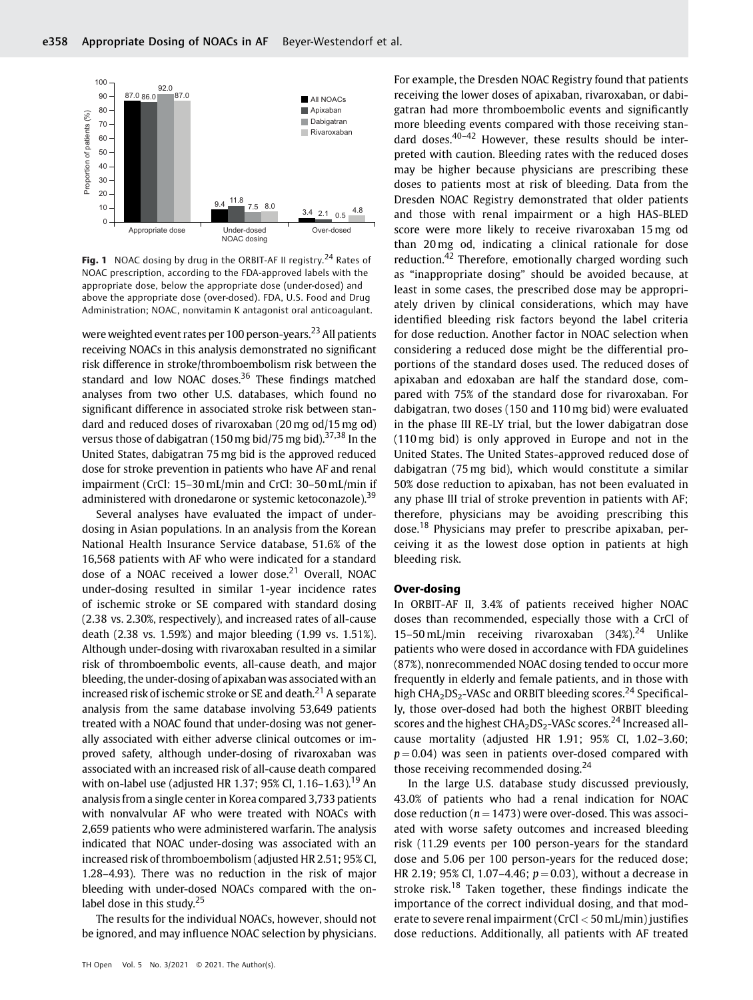

Fig. 1 NOAC dosing by drug in the ORBIT-AF II registry.<sup>24</sup> Rates of NOAC prescription, according to the FDA-approved labels with the appropriate dose, below the appropriate dose (under-dosed) and above the appropriate dose (over-dosed). FDA, U.S. Food and Drug Administration; NOAC, nonvitamin K antagonist oral anticoagulant.

were weighted event rates per 100 person-years.<sup>23</sup> All patients receiving NOACs in this analysis demonstrated no significant risk difference in stroke/thromboembolism risk between the standard and low NOAC doses.<sup>36</sup> These findings matched analyses from two other U.S. databases, which found no significant difference in associated stroke risk between standard and reduced doses of rivaroxaban (20 mg od/15 mg od) versus those of dabigatran (150 mg bid/75 mg bid).<sup>37,38</sup> In the United States, dabigatran 75mg bid is the approved reduced dose for stroke prevention in patients who have AF and renal impairment (CrCl: 15–30mL/min and CrCl: 30–50mL/min if administered with dronedarone or systemic ketoconazole).<sup>39</sup>

Several analyses have evaluated the impact of underdosing in Asian populations. In an analysis from the Korean National Health Insurance Service database, 51.6% of the 16,568 patients with AF who were indicated for a standard dose of a NOAC received a lower dose.<sup>21</sup> Overall, NOAC under-dosing resulted in similar 1-year incidence rates of ischemic stroke or SE compared with standard dosing (2.38 vs. 2.30%, respectively), and increased rates of all-cause death (2.38 vs. 1.59%) and major bleeding (1.99 vs. 1.51%). Although under-dosing with rivaroxaban resulted in a similar risk of thromboembolic events, all-cause death, and major bleeding, the under-dosing of apixaban was associated with an increased risk of ischemic stroke or SE and death.<sup>21</sup> A separate analysis from the same database involving 53,649 patients treated with a NOAC found that under-dosing was not generally associated with either adverse clinical outcomes or improved safety, although under-dosing of rivaroxaban was associated with an increased risk of all-cause death compared with on-label use (adjusted HR 1.37; 95% CI, 1.16–1.63).<sup>19</sup> An analysis from a single center in Korea compared 3,733 patients with nonvalvular AF who were treated with NOACs with 2,659 patients who were administered warfarin. The analysis indicated that NOAC under-dosing was associated with an increased risk of thromboembolism (adjusted HR 2.51; 95% CI, 1.28–4.93). There was no reduction in the risk of major bleeding with under-dosed NOACs compared with the onlabel dose in this study. $25$ 

The results for the individual NOACs, however, should not be ignored, and may influence NOAC selection by physicians.

TH Open Vol. 5 No. 3/2021 © 2021. The Author(s).

For example, the Dresden NOAC Registry found that patients receiving the lower doses of apixaban, rivaroxaban, or dabigatran had more thromboembolic events and significantly more bleeding events compared with those receiving standard doses. $40-42$  However, these results should be interpreted with caution. Bleeding rates with the reduced doses may be higher because physicians are prescribing these doses to patients most at risk of bleeding. Data from the Dresden NOAC Registry demonstrated that older patients and those with renal impairment or a high HAS-BLED score were more likely to receive rivaroxaban 15 mg od than 20 mg od, indicating a clinical rationale for dose reduction.<sup>42</sup> Therefore, emotionally charged wording such as "inappropriate dosing" should be avoided because, at least in some cases, the prescribed dose may be appropriately driven by clinical considerations, which may have identified bleeding risk factors beyond the label criteria for dose reduction. Another factor in NOAC selection when considering a reduced dose might be the differential proportions of the standard doses used. The reduced doses of apixaban and edoxaban are half the standard dose, compared with 75% of the standard dose for rivaroxaban. For dabigatran, two doses (150 and 110 mg bid) were evaluated in the phase III RE-LY trial, but the lower dabigatran dose (110 mg bid) is only approved in Europe and not in the United States. The United States-approved reduced dose of dabigatran (75 mg bid), which would constitute a similar 50% dose reduction to apixaban, has not been evaluated in any phase III trial of stroke prevention in patients with AF; therefore, physicians may be avoiding prescribing this dose.<sup>18</sup> Physicians may prefer to prescribe apixaban, perceiving it as the lowest dose option in patients at high bleeding risk.

#### Over-dosing

In ORBIT-AF II, 3.4% of patients received higher NOAC doses than recommended, especially those with a CrCl of 15–50 mL/min receiving rivaroxaban (34%).<sup>24</sup> Unlike patients who were dosed in accordance with FDA guidelines (87%), nonrecommended NOAC dosing tended to occur more frequently in elderly and female patients, and in those with high CHA<sub>2</sub>DS<sub>2</sub>-VASc and ORBIT bleeding scores.<sup>24</sup> Specifically, those over-dosed had both the highest ORBIT bleeding scores and the highest  $CHA<sub>2</sub>DS<sub>2</sub>$ -VASc scores.<sup>24</sup> Increased allcause mortality (adjusted HR 1.91; 95% CI, 1.02–3.60;  $p = 0.04$ ) was seen in patients over-dosed compared with those receiving recommended dosing.<sup>24</sup>

In the large U.S. database study discussed previously, 43.0% of patients who had a renal indication for NOAC dose reduction ( $n = 1473$ ) were over-dosed. This was associated with worse safety outcomes and increased bleeding risk (11.29 events per 100 person-years for the standard dose and 5.06 per 100 person-years for the reduced dose; HR 2.19; 95% CI, 1.07–4.46;  $p = 0.03$ ), without a decrease in stroke risk.<sup>18</sup> Taken together, these findings indicate the importance of the correct individual dosing, and that moderate to severe renal impairment (CrCl < 50 mL/min) justifies dose reductions. Additionally, all patients with AF treated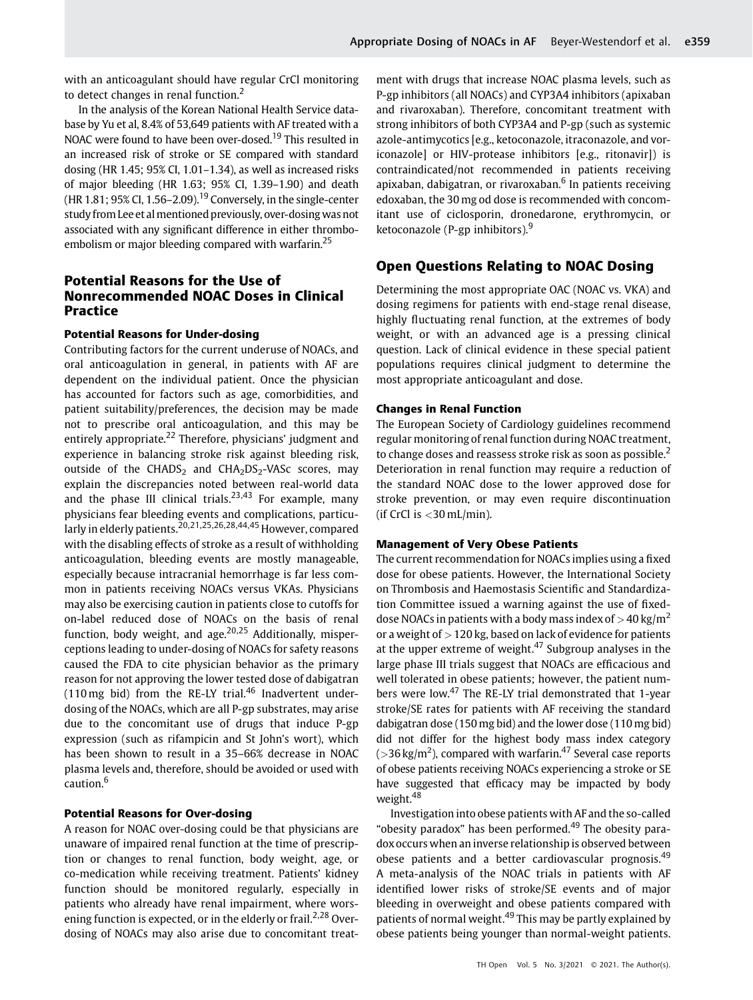with an anticoagulant should have regular CrCl monitoring to detect changes in renal function.<sup>2</sup>

In the analysis of the Korean National Health Service database by Yu et al, 8.4% of 53,649 patients with AF treated with a NOAC were found to have been over-dosed.<sup>19</sup> This resulted in an increased risk of stroke or SE compared with standard dosing (HR 1.45; 95% CI, 1.01–1.34), as well as increased risks of major bleeding (HR 1.63; 95% CI, 1.39–1.90) and death (HR 1.81; 95% CI, 1.56–2.09).<sup>19</sup> Conversely, in the single-center study from Lee et al mentioned previously, over-dosing was not associated with any significant difference in either thromboembolism or major bleeding compared with warfarin.<sup>25</sup>

# Potential Reasons for the Use of Nonrecommended NOAC Doses in Clinical Practice

### Potential Reasons for Under-dosing

Contributing factors for the current underuse of NOACs, and oral anticoagulation in general, in patients with AF are dependent on the individual patient. Once the physician has accounted for factors such as age, comorbidities, and patient suitability/preferences, the decision may be made not to prescribe oral anticoagulation, and this may be entirely appropriate.<sup>22</sup> Therefore, physicians' judgment and experience in balancing stroke risk against bleeding risk, outside of the CHADS<sub>2</sub> and CHA<sub>2</sub>DS<sub>2</sub>-VASc scores, may explain the discrepancies noted between real-world data and the phase III clinical trials. $23,43$  For example, many physicians fear bleeding events and complications, particularly in elderly patients.<sup>20,21,25,26,28,44,45</sup> However, compared with the disabling effects of stroke as a result of withholding anticoagulation, bleeding events are mostly manageable, especially because intracranial hemorrhage is far less common in patients receiving NOACs versus VKAs. Physicians may also be exercising caution in patients close to cutoffs for on-label reduced dose of NOACs on the basis of renal function, body weight, and age. $20,25$  Additionally, misperceptions leading to under-dosing of NOACs for safety reasons caused the FDA to cite physician behavior as the primary reason for not approving the lower tested dose of dabigatran (110 mg bid) from the RE-LY trial.<sup>46</sup> Inadvertent underdosing of the NOACs, which are all P-gp substrates, may arise due to the concomitant use of drugs that induce P-gp expression (such as rifampicin and St John's wort), which has been shown to result in a 35–66% decrease in NOAC plasma levels and, therefore, should be avoided or used with caution.<sup>6</sup>

#### Potential Reasons for Over-dosing

A reason for NOAC over-dosing could be that physicians are unaware of impaired renal function at the time of prescription or changes to renal function, body weight, age, or co-medication while receiving treatment. Patients' kidney function should be monitored regularly, especially in patients who already have renal impairment, where worsening function is expected, or in the elderly or frail.<sup>2,28</sup> Overdosing of NOACs may also arise due to concomitant treatment with drugs that increase NOAC plasma levels, such as P-gp inhibitors (all NOACs) and CYP3A4 inhibitors (apixaban and rivaroxaban). Therefore, concomitant treatment with strong inhibitors of both CYP3A4 and P-gp (such as systemic azole-antimycotics [e.g., ketoconazole, itraconazole, and voriconazole] or HIV-protease inhibitors [e.g., ritonavir]) is contraindicated/not recommended in patients receiving apixaban, dabigatran, or rivaroxaban. $6$  In patients receiving edoxaban, the 30 mg od dose is recommended with concomitant use of ciclosporin, dronedarone, erythromycin, or ketoconazole (P-gp inhibitors). $9$ 

# Open Questions Relating to NOAC Dosing

Determining the most appropriate OAC (NOAC vs. VKA) and dosing regimens for patients with end-stage renal disease, highly fluctuating renal function, at the extremes of body weight, or with an advanced age is a pressing clinical question. Lack of clinical evidence in these special patient populations requires clinical judgment to determine the most appropriate anticoagulant and dose.

#### Changes in Renal Function

The European Society of Cardiology guidelines recommend regular monitoring of renal function during NOAC treatment, to change doses and reassess stroke risk as soon as possible.<sup>2</sup> Deterioration in renal function may require a reduction of the standard NOAC dose to the lower approved dose for stroke prevention, or may even require discontinuation (if CrCl is  $<$  30 mL/min).

#### Management of Very Obese Patients

The current recommendation for NOACs implies using a fixed dose for obese patients. However, the International Society on Thrombosis and Haemostasis Scientific and Standardization Committee issued a warning against the use of fixeddose NOACs in patients with a body mass index of  $>$  40 kg/m<sup>2</sup> or a weight of  $>$  120 kg, based on lack of evidence for patients at the upper extreme of weight. $47$  Subgroup analyses in the large phase III trials suggest that NOACs are efficacious and well tolerated in obese patients; however, the patient numbers were low.<sup>47</sup> The RE-LY trial demonstrated that 1-year stroke/SE rates for patients with AF receiving the standard dabigatran dose (150mg bid) and the lower dose (110 mg bid) did not differ for the highest body mass index category (>36 kg/m<sup>2</sup>), compared with warfarin.<sup>47</sup> Several case reports of obese patients receiving NOACs experiencing a stroke or SE have suggested that efficacy may be impacted by body weight.<sup>48</sup>

Investigation into obese patients with AF and the so-called "obesity paradox" has been performed.<sup>49</sup> The obesity paradox occurs when an inverse relationship is observed between obese patients and a better cardiovascular prognosis.<sup>49</sup> A meta-analysis of the NOAC trials in patients with AF identified lower risks of stroke/SE events and of major bleeding in overweight and obese patients compared with patients of normal weight.<sup>49</sup> This may be partly explained by obese patients being younger than normal-weight patients.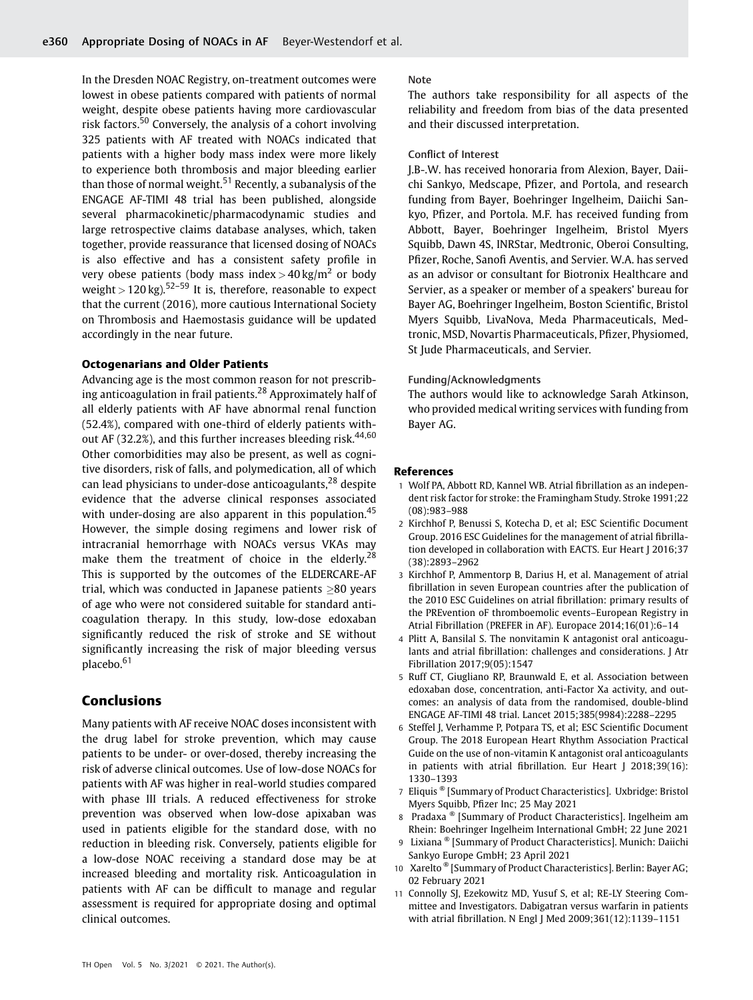In the Dresden NOAC Registry, on-treatment outcomes were lowest in obese patients compared with patients of normal weight, despite obese patients having more cardiovascular risk factors.<sup>50</sup> Conversely, the analysis of a cohort involving 325 patients with AF treated with NOACs indicated that patients with a higher body mass index were more likely to experience both thrombosis and major bleeding earlier than those of normal weight.<sup>51</sup> Recently, a subanalysis of the ENGAGE AF-TIMI 48 trial has been published, alongside several pharmacokinetic/pharmacodynamic studies and large retrospective claims database analyses, which, taken together, provide reassurance that licensed dosing of NOACs is also effective and has a consistent safety profile in very obese patients (body mass index  $>$  40 kg/m<sup>2</sup> or body weight >  $120 \text{ kg}$ ).<sup>52–59</sup> It is, therefore, reasonable to expect that the current (2016), more cautious International Society on Thrombosis and Haemostasis guidance will be updated accordingly in the near future.

#### Octogenarians and Older Patients

Advancing age is the most common reason for not prescribing anticoagulation in frail patients.<sup>28</sup> Approximately half of all elderly patients with AF have abnormal renal function (52.4%), compared with one-third of elderly patients without AF (32.2%), and this further increases bleeding risk. $44,60$ Other comorbidities may also be present, as well as cognitive disorders, risk of falls, and polymedication, all of which can lead physicians to under-dose anticoagulants, $^{28}$  despite evidence that the adverse clinical responses associated with under-dosing are also apparent in this population.<sup>45</sup> However, the simple dosing regimens and lower risk of intracranial hemorrhage with NOACs versus VKAs may make them the treatment of choice in the elderly.<sup>28</sup> This is supported by the outcomes of the ELDERCARE-AF trial, which was conducted in Japanese patients  $\geq 80$  years of age who were not considered suitable for standard anticoagulation therapy. In this study, low-dose edoxaban significantly reduced the risk of stroke and SE without significantly increasing the risk of major bleeding versus placebo.<sup>61</sup>

# Conclusions

Many patients with AF receive NOAC doses inconsistent with the drug label for stroke prevention, which may cause patients to be under- or over-dosed, thereby increasing the risk of adverse clinical outcomes. Use of low-dose NOACs for patients with AF was higher in real-world studies compared with phase III trials. A reduced effectiveness for stroke prevention was observed when low-dose apixaban was used in patients eligible for the standard dose, with no reduction in bleeding risk. Conversely, patients eligible for a low-dose NOAC receiving a standard dose may be at increased bleeding and mortality risk. Anticoagulation in patients with AF can be difficult to manage and regular assessment is required for appropriate dosing and optimal clinical outcomes.

#### Note

The authors take responsibility for all aspects of the reliability and freedom from bias of the data presented and their discussed interpretation.

#### Conflict of Interest

J.B-.W. has received honoraria from Alexion, Bayer, Daiichi Sankyo, Medscape, Pfizer, and Portola, and research funding from Bayer, Boehringer Ingelheim, Daiichi Sankyo, Pfizer, and Portola. M.F. has received funding from Abbott, Bayer, Boehringer Ingelheim, Bristol Myers Squibb, Dawn 4S, INRStar, Medtronic, Oberoi Consulting, Pfizer, Roche, Sanofi Aventis, and Servier. W.A. has served as an advisor or consultant for Biotronix Healthcare and Servier, as a speaker or member of a speakers' bureau for Bayer AG, Boehringer Ingelheim, Boston Scientific, Bristol Myers Squibb, LivaNova, Meda Pharmaceuticals, Medtronic, MSD, Novartis Pharmaceuticals, Pfizer, Physiomed, St Jude Pharmaceuticals, and Servier.

#### Funding/Acknowledgments

The authors would like to acknowledge Sarah Atkinson, who provided medical writing services with funding from Bayer AG.

#### References

- 1 Wolf PA, Abbott RD, Kannel WB. Atrial fibrillation as an independent risk factor for stroke: the Framingham Study. Stroke 1991;22 (08):983–988
- 2 Kirchhof P, Benussi S, Kotecha D, et al; ESC Scientific Document Group. 2016 ESC Guidelines for the management of atrial fibrillation developed in collaboration with EACTS. Eur Heart J 2016;37 (38):2893–2962
- 3 Kirchhof P, Ammentorp B, Darius H, et al. Management of atrial fibrillation in seven European countries after the publication of the 2010 ESC Guidelines on atrial fibrillation: primary results of the PREvention oF thromboemolic events–European Registry in Atrial Fibrillation (PREFER in AF). Europace 2014;16(01):6–14
- 4 Plitt A, Bansilal S. The nonvitamin K antagonist oral anticoagulants and atrial fibrillation: challenges and considerations. J Atr Fibrillation 2017;9(05):1547
- 5 Ruff CT, Giugliano RP, Braunwald E, et al. Association between edoxaban dose, concentration, anti-Factor Xa activity, and outcomes: an analysis of data from the randomised, double-blind ENGAGE AF-TIMI 48 trial. Lancet 2015;385(9984):2288–2295
- 6 Steffel J, Verhamme P, Potpara TS, et al; ESC Scientific Document Group. The 2018 European Heart Rhythm Association Practical Guide on the use of non-vitamin K antagonist oral anticoagulants in patients with atrial fibrillation. Eur Heart J 2018;39(16): 1330–1393
- <sup>7</sup> Eliquis ® [Summary of Product Characteristics]. Uxbridge: Bristol Myers Squibb, Pfizer Inc; 25 May 2021
- <sup>8</sup> Pradaxa ® [Summary of Product Characteristics]. Ingelheim am Rhein: Boehringer Ingelheim International GmbH; 22 June 2021
- <sup>9</sup> Lixiana ® [Summary of Product Characteristics]. Munich: Daiichi Sankyo Europe GmbH; 23 April 2021
- <sup>10</sup> Xarelto ® [Summary of Product Characteristics]. Berlin: Bayer AG; 02 February 2021
- 11 Connolly SJ, Ezekowitz MD, Yusuf S, et al; RE-LY Steering Committee and Investigators. Dabigatran versus warfarin in patients with atrial fibrillation. N Engl J Med 2009;361(12):1139–1151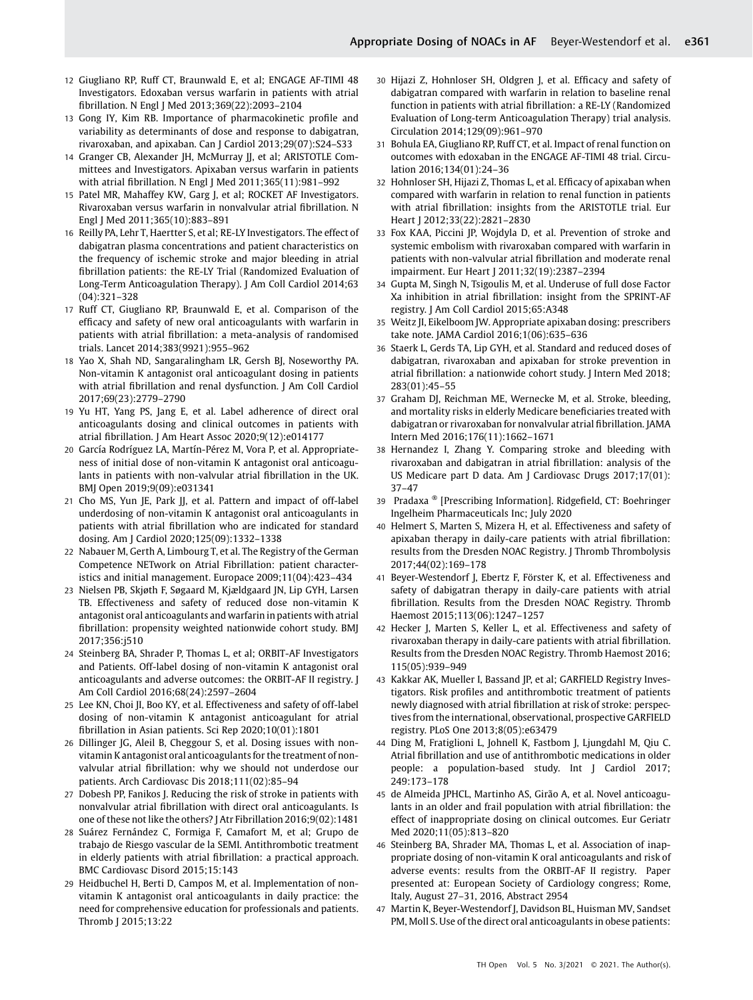- 12 Giugliano RP, Ruff CT, Braunwald E, et al; ENGAGE AF-TIMI 48 Investigators. Edoxaban versus warfarin in patients with atrial fibrillation. N Engl J Med 2013;369(22):2093–2104
- 13 Gong IY, Kim RB. Importance of pharmacokinetic profile and variability as determinants of dose and response to dabigatran, rivaroxaban, and apixaban. Can J Cardiol 2013;29(07):S24–S33
- 14 Granger CB, Alexander JH, McMurray JJ, et al; ARISTOTLE Committees and Investigators. Apixaban versus warfarin in patients with atrial fibrillation. N Engl J Med 2011;365(11):981–992
- 15 Patel MR, Mahaffey KW, Garg J, et al; ROCKET AF Investigators. Rivaroxaban versus warfarin in nonvalvular atrial fibrillation. N Engl J Med 2011;365(10):883–891
- 16 Reilly PA, Lehr T, Haertter S, et al; RE-LY Investigators. The effect of dabigatran plasma concentrations and patient characteristics on the frequency of ischemic stroke and major bleeding in atrial fibrillation patients: the RE-LY Trial (Randomized Evaluation of Long-Term Anticoagulation Therapy). J Am Coll Cardiol 2014;63 (04):321–328
- 17 Ruff CT, Giugliano RP, Braunwald E, et al. Comparison of the efficacy and safety of new oral anticoagulants with warfarin in patients with atrial fibrillation: a meta-analysis of randomised trials. Lancet 2014;383(9921):955–962
- 18 Yao X, Shah ND, Sangaralingham LR, Gersh BJ, Noseworthy PA. Non-vitamin K antagonist oral anticoagulant dosing in patients with atrial fibrillation and renal dysfunction. J Am Coll Cardiol 2017;69(23):2779–2790
- 19 Yu HT, Yang PS, Jang E, et al. Label adherence of direct oral anticoagulants dosing and clinical outcomes in patients with atrial fibrillation. J Am Heart Assoc 2020;9(12):e014177
- 20 García Rodríguez LA, Martín-Pérez M, Vora P, et al. Appropriateness of initial dose of non-vitamin K antagonist oral anticoagulants in patients with non-valvular atrial fibrillation in the UK. BMJ Open 2019;9(09):e031341
- 21 Cho MS, Yun JE, Park JJ, et al. Pattern and impact of off-label underdosing of non-vitamin K antagonist oral anticoagulants in patients with atrial fibrillation who are indicated for standard dosing. Am J Cardiol 2020;125(09):1332–1338
- 22 Nabauer M, Gerth A, Limbourg T, et al. The Registry of the German Competence NETwork on Atrial Fibrillation: patient characteristics and initial management. Europace 2009;11(04):423–434
- 23 Nielsen PB, Skjøth F, Søgaard M, Kjældgaard JN, Lip GYH, Larsen TB. Effectiveness and safety of reduced dose non-vitamin K antagonist oral anticoagulants and warfarin in patients with atrial fibrillation: propensity weighted nationwide cohort study. BMJ 2017;356:j510
- 24 Steinberg BA, Shrader P, Thomas L, et al; ORBIT-AF Investigators and Patients. Off-label dosing of non-vitamin K antagonist oral anticoagulants and adverse outcomes: the ORBIT-AF II registry. J Am Coll Cardiol 2016;68(24):2597–2604
- 25 Lee KN, Choi JI, Boo KY, et al. Effectiveness and safety of off-label dosing of non-vitamin K antagonist anticoagulant for atrial fibrillation in Asian patients. Sci Rep 2020;10(01):1801
- 26 Dillinger JG, Aleil B, Cheggour S, et al. Dosing issues with nonvitamin K antagonist oral anticoagulants for the treatment of nonvalvular atrial fibrillation: why we should not underdose our patients. Arch Cardiovasc Dis 2018;111(02):85–94
- 27 Dobesh PP, Fanikos J. Reducing the risk of stroke in patients with nonvalvular atrial fibrillation with direct oral anticoagulants. Is one of these not like the others? J Atr Fibrillation 2016;9(02):1481
- 28 Suárez Fernández C, Formiga F, Camafort M, et al; Grupo de trabajo de Riesgo vascular de la SEMI. Antithrombotic treatment in elderly patients with atrial fibrillation: a practical approach. BMC Cardiovasc Disord 2015;15:143
- 29 Heidbuchel H, Berti D, Campos M, et al. Implementation of nonvitamin K antagonist oral anticoagulants in daily practice: the need for comprehensive education for professionals and patients. Thromb J 2015;13:22
- 30 Hijazi Z, Hohnloser SH, Oldgren J, et al. Efficacy and safety of dabigatran compared with warfarin in relation to baseline renal function in patients with atrial fibrillation: a RE-LY (Randomized Evaluation of Long-term Anticoagulation Therapy) trial analysis. Circulation 2014;129(09):961–970
- 31 Bohula EA, Giugliano RP, Ruff CT, et al. Impact of renal function on outcomes with edoxaban in the ENGAGE AF-TIMI 48 trial. Circulation 2016;134(01):24–36
- 32 Hohnloser SH, Hijazi Z, Thomas L, et al. Efficacy of apixaban when compared with warfarin in relation to renal function in patients with atrial fibrillation: insights from the ARISTOTLE trial. Eur Heart J 2012;33(22):2821–2830
- 33 Fox KAA, Piccini JP, Wojdyla D, et al. Prevention of stroke and systemic embolism with rivaroxaban compared with warfarin in patients with non-valvular atrial fibrillation and moderate renal impairment. Eur Heart J 2011;32(19):2387–2394
- 34 Gupta M, Singh N, Tsigoulis M, et al. Underuse of full dose Factor Xa inhibition in atrial fibrillation: insight from the SPRINT-AF registry. J Am Coll Cardiol 2015;65:A348
- 35 Weitz JI, Eikelboom JW. Appropriate apixaban dosing: prescribers take note. JAMA Cardiol 2016;1(06):635–636
- 36 Staerk L, Gerds TA, Lip GYH, et al. Standard and reduced doses of dabigatran, rivaroxaban and apixaban for stroke prevention in atrial fibrillation: a nationwide cohort study. J Intern Med 2018; 283(01):45–55
- 37 Graham DJ, Reichman ME, Wernecke M, et al. Stroke, bleeding, and mortality risks in elderly Medicare beneficiaries treated with dabigatran or rivaroxaban for nonvalvular atrial fibrillation. JAMA Intern Med 2016;176(11):1662–1671
- 38 Hernandez I, Zhang Y. Comparing stroke and bleeding with rivaroxaban and dabigatran in atrial fibrillation: analysis of the US Medicare part D data. Am J Cardiovasc Drugs 2017;17(01): 37–47
- <sup>39</sup> Pradaxa ® [Prescribing Information]. Ridgefield, CT: Boehringer Ingelheim Pharmaceuticals Inc; July 2020
- 40 Helmert S, Marten S, Mizera H, et al. Effectiveness and safety of apixaban therapy in daily-care patients with atrial fibrillation: results from the Dresden NOAC Registry. J Thromb Thrombolysis 2017;44(02):169–178
- 41 Beyer-Westendorf J, Ebertz F, Förster K, et al. Effectiveness and safety of dabigatran therapy in daily-care patients with atrial fibrillation. Results from the Dresden NOAC Registry. Thromb Haemost 2015;113(06):1247–1257
- 42 Hecker J, Marten S, Keller L, et al. Effectiveness and safety of rivaroxaban therapy in daily-care patients with atrial fibrillation. Results from the Dresden NOAC Registry. Thromb Haemost 2016; 115(05):939–949
- 43 Kakkar AK, Mueller I, Bassand JP, et al; GARFIELD Registry Investigators. Risk profiles and antithrombotic treatment of patients newly diagnosed with atrial fibrillation at risk of stroke: perspectives from the international, observational, prospective GARFIELD registry. PLoS One 2013;8(05):e63479
- 44 Ding M, Fratiglioni L, Johnell K, Fastbom J, Ljungdahl M, Qiu C. Atrial fibrillation and use of antithrombotic medications in older people: a population-based study. Int J Cardiol 2017; 249:173–178
- 45 de Almeida JPHCL, Martinho AS, Girão A, et al. Novel anticoagulants in an older and frail population with atrial fibrillation: the effect of inappropriate dosing on clinical outcomes. Eur Geriatr Med 2020;11(05):813–820
- 46 Steinberg BA, Shrader MA, Thomas L, et al. Association of inappropriate dosing of non-vitamin K oral anticoagulants and risk of adverse events: results from the ORBIT-AF II registry. Paper presented at: European Society of Cardiology congress; Rome, Italy, August 27–31, 2016, Abstract 2954
- 47 Martin K, Beyer-Westendorf J, Davidson BL, Huisman MV, Sandset PM, Moll S. Use of the direct oral anticoagulants in obese patients: